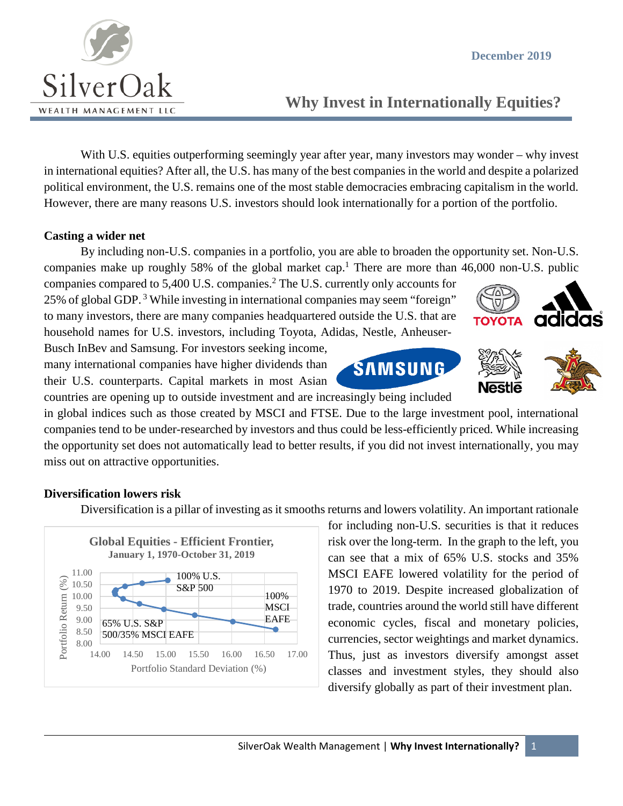

# **Why Invest in Internationally Equities?**

With U.S. equities outperforming seemingly year after year, many investors may wonder – why invest in international equities? After all, the U.S. has many of the best companies in the world and despite a polarized political environment, the U.S. remains one of the most stable democracies embracing capitalism in the world. However, there are many reasons U.S. investors should look internationally for a portion of the portfolio.

#### **Casting a wider net**

By including non-U.S. companies in a portfolio, you are able to broaden the opportunity set. Non-U.S. companies make up roughly 58% of the global market cap.<sup>1</sup> There are more than  $46,000$  non-U.S. public

companies compared to 5,400 U.S. companies.2 The U.S. currently only accounts for 25% of global GDP. <sup>3</sup> While investing in international companies may seem "foreign" to many investors, there are many companies headquartered outside the U.S. that are household names for U.S. investors, including Toyota, Adidas, Nestle, Anheuser-

Busch InBev and Samsung. For investors seeking income, many international companies have higher dividends than their U.S. counterparts. Capital markets in most Asian



countries are opening up to outside investment and are increasingly being included

in global indices such as those created by MSCI and FTSE. Due to the large investment pool, international companies tend to be under-researched by investors and thus could be less-efficiently priced. While increasing the opportunity set does not automatically lead to better results, if you did not invest internationally, you may miss out on attractive opportunities.

### **Diversification lowers risk**

Diversification is a pillar of investing as it smooths returns and lowers volatility. An important rationale



for including non-U.S. securities is that it reduces risk over the long-term. In the graph to the left, you can see that a mix of 65% U.S. stocks and 35% MSCI EAFE lowered volatility for the period of 1970 to 2019. Despite increased globalization of trade, countries around the world still have different economic cycles, fiscal and monetary policies, currencies, sector weightings and market dynamics. Thus, just as investors diversify amongst asset classes and investment styles, they should also diversify globally as part of their investment plan.



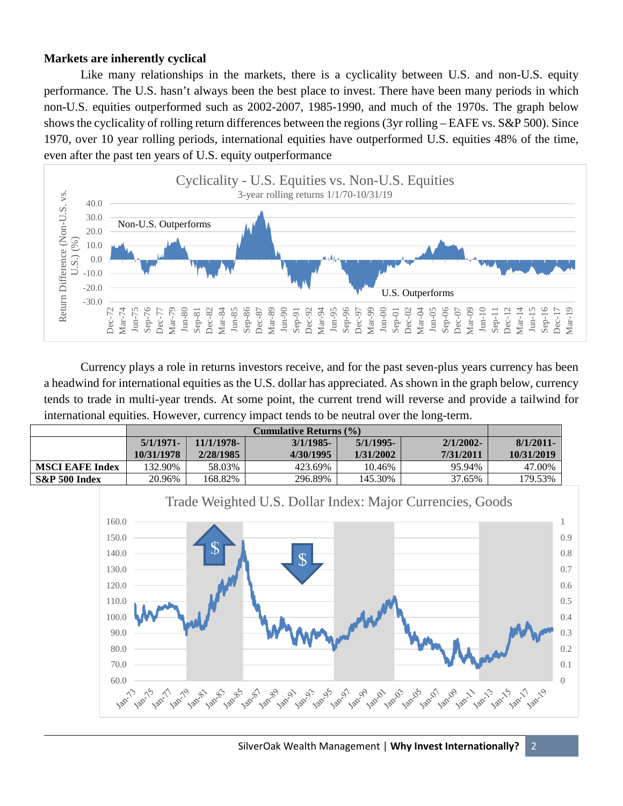#### **Markets are inherently cyclical**

Like many relationships in the markets, there is a cyclicality between U.S. and non-U.S. equity performance. The U.S. hasn't always been the best place to invest. There have been many periods in which non-U.S. equities outperformed such as 2002-2007, 1985-1990, and much of the 1970s. The graph below shows the cyclicality of rolling return differences between the regions (3yr rolling – EAFE vs. S&P 500). Since 1970, over 10 year rolling periods, international equities have outperformed U.S. equities 48% of the time, even after the past ten years of U.S. equity outperformance



Currency plays a role in returns investors receive, and for the past seven-plus years currency has been a headwind for international equities as the U.S. dollar has appreciated. As shown in the graph below, currency tends to trade in multi-year trends. At some point, the current trend will reverse and provide a tailwind for international equities. However, currency impact tends to be neutral over the long-term.

|                        | Cumulative Returns (%) |            |              |           |              |            |
|------------------------|------------------------|------------|--------------|-----------|--------------|------------|
|                        | 5/1/1971               | 11/1/1978- | $3/1/1985$ - | 5/1/1995- | $2/1/2002$ - | 8/1/2011   |
|                        | 10/31/1978             | 2/28/1985  | 4/30/1995    | 1/31/2002 | 7/31/2011    | 10/31/2019 |
| <b>MSCI EAFE Index</b> | 132.90%                | 58.03%     | 423.69%      | 10.46%    | 95.94%       | 47.00%     |
| $S\&P 500$ Index       | 20.96%                 | 168.82%    | 296.89%      | 145.30%   | 37.65%       | 179.53%    |

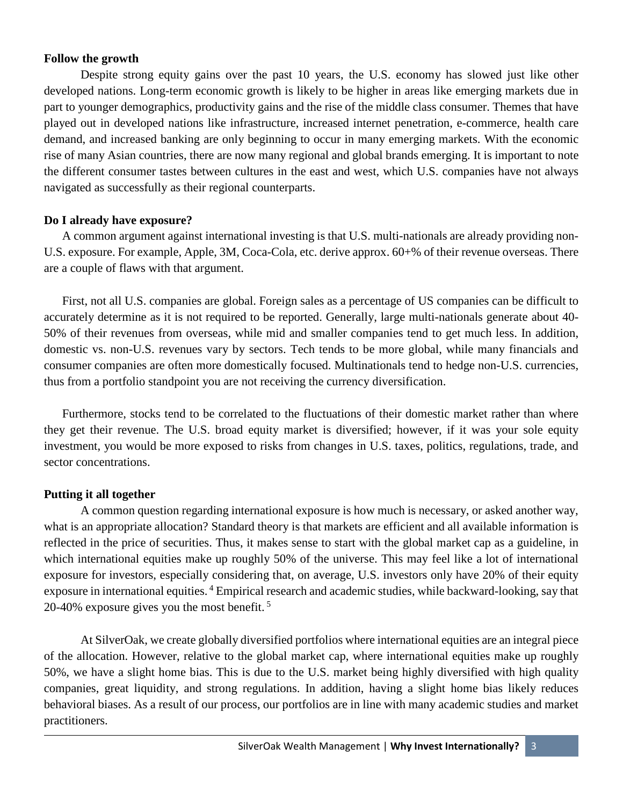#### **Follow the growth**

Despite strong equity gains over the past 10 years, the U.S. economy has slowed just like other developed nations. Long-term economic growth is likely to be higher in areas like emerging markets due in part to younger demographics, productivity gains and the rise of the middle class consumer. Themes that have played out in developed nations like infrastructure, increased internet penetration, e-commerce, health care demand, and increased banking are only beginning to occur in many emerging markets. With the economic rise of many Asian countries, there are now many regional and global brands emerging. It is important to note the different consumer tastes between cultures in the east and west, which U.S. companies have not always navigated as successfully as their regional counterparts.

### **Do I already have exposure?**

A common argument against international investing is that U.S. multi-nationals are already providing non-U.S. exposure. For example, Apple, 3M, Coca-Cola, etc. derive approx. 60+% of their revenue overseas. There are a couple of flaws with that argument.

First, not all U.S. companies are global. Foreign sales as a percentage of US companies can be difficult to accurately determine as it is not required to be reported. Generally, large multi-nationals generate about 40- 50% of their revenues from overseas, while mid and smaller companies tend to get much less. In addition, domestic vs. non-U.S. revenues vary by sectors. Tech tends to be more global, while many financials and consumer companies are often more domestically focused. Multinationals tend to hedge non-U.S. currencies, thus from a portfolio standpoint you are not receiving the currency diversification.

Furthermore, stocks tend to be correlated to the fluctuations of their domestic market rather than where they get their revenue. The U.S. broad equity market is diversified; however, if it was your sole equity investment, you would be more exposed to risks from changes in U.S. taxes, politics, regulations, trade, and sector concentrations.

## **Putting it all together**

A common question regarding international exposure is how much is necessary, or asked another way, what is an appropriate allocation? Standard theory is that markets are efficient and all available information is reflected in the price of securities. Thus, it makes sense to start with the global market cap as a guideline, in which international equities make up roughly 50% of the universe. This may feel like a lot of international exposure for investors, especially considering that, on average, U.S. investors only have 20% of their equity exposure in international equities.<sup>4</sup> Empirical research and academic studies, while backward-looking, say that 20-40% exposure gives you the most benefit. <sup>5</sup>

At SilverOak, we create globally diversified portfolios where international equities are an integral piece of the allocation. However, relative to the global market cap, where international equities make up roughly 50%, we have a slight home bias. This is due to the U.S. market being highly diversified with high quality companies, great liquidity, and strong regulations. In addition, having a slight home bias likely reduces behavioral biases. As a result of our process, our portfolios are in line with many academic studies and market practitioners.